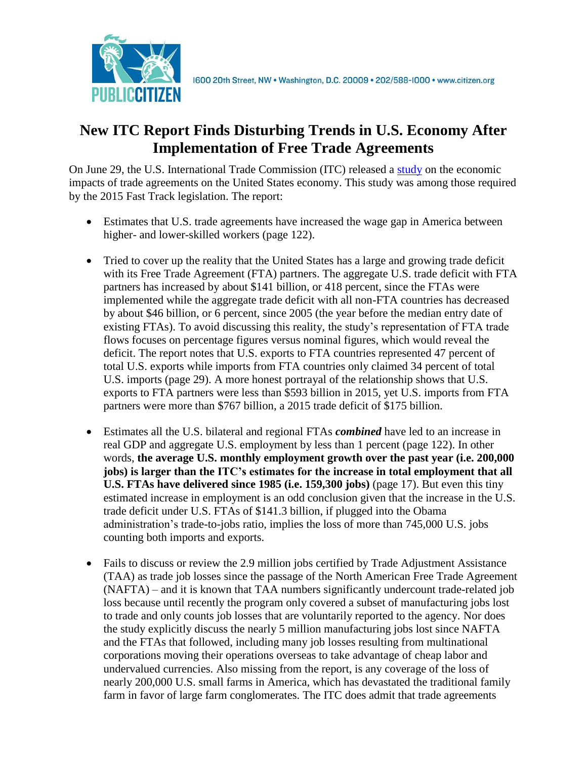

## **New ITC Report Finds Disturbing Trends in U.S. Economy After Implementation of Free Trade Agreements**

On June 29, the U.S. International Trade Commission (ITC) released a [study](https://www.usitc.gov/publications/332/pub4614.pdf) on the economic impacts of trade agreements on the United States economy. This study was among those required by the 2015 Fast Track legislation. The report:

- Estimates that U.S. trade agreements have increased the wage gap in America between higher- and lower-skilled workers (page 122).
- Tried to cover up the reality that the United States has a large and growing trade deficit with its Free Trade Agreement (FTA) partners. The aggregate U.S. trade deficit with FTA partners has increased by about \$141 billion, or 418 percent, since the FTAs were implemented while the aggregate trade deficit with all non-FTA countries has decreased by about \$46 billion, or 6 percent, since 2005 (the year before the median entry date of existing FTAs). To avoid discussing this reality, the study's representation of FTA trade flows focuses on percentage figures versus nominal figures, which would reveal the deficit. The report notes that U.S. exports to FTA countries represented 47 percent of total U.S. exports while imports from FTA countries only claimed 34 percent of total U.S. imports (page 29). A more honest portrayal of the relationship shows that U.S. exports to FTA partners were less than \$593 billion in 2015, yet U.S. imports from FTA partners were more than \$767 billion, a 2015 trade deficit of \$175 billion.
- Estimates all the U.S. bilateral and regional FTAs *combined* have led to an increase in real GDP and aggregate U.S. employment by less than 1 percent (page 122). In other words, **the average U.S. monthly employment growth over the past year (i.e. 200,000 jobs) is larger than the ITC's estimates for the increase in total employment that all U.S. FTAs have delivered since 1985 (i.e. 159,300 jobs)** (page 17). But even this tiny estimated increase in employment is an odd conclusion given that the increase in the U.S. trade deficit under U.S. FTAs of \$141.3 billion, if plugged into the Obama administration's trade-to-jobs ratio, implies the loss of more than 745,000 U.S. jobs counting both imports and exports.
- Fails to discuss or review the 2.9 million jobs certified by Trade Adjustment Assistance (TAA) as trade job losses since the passage of the North American Free Trade Agreement (NAFTA) – and it is known that TAA numbers significantly undercount trade-related job loss because until recently the program only covered a subset of manufacturing jobs lost to trade and only counts job losses that are voluntarily reported to the agency. Nor does the study explicitly discuss the nearly 5 million manufacturing jobs lost since NAFTA and the FTAs that followed, including many job losses resulting from multinational corporations moving their operations overseas to take advantage of cheap labor and undervalued currencies. Also missing from the report, is any coverage of the loss of nearly 200,000 U.S. small farms in America, which has devastated the traditional family farm in favor of large farm conglomerates. The ITC does admit that trade agreements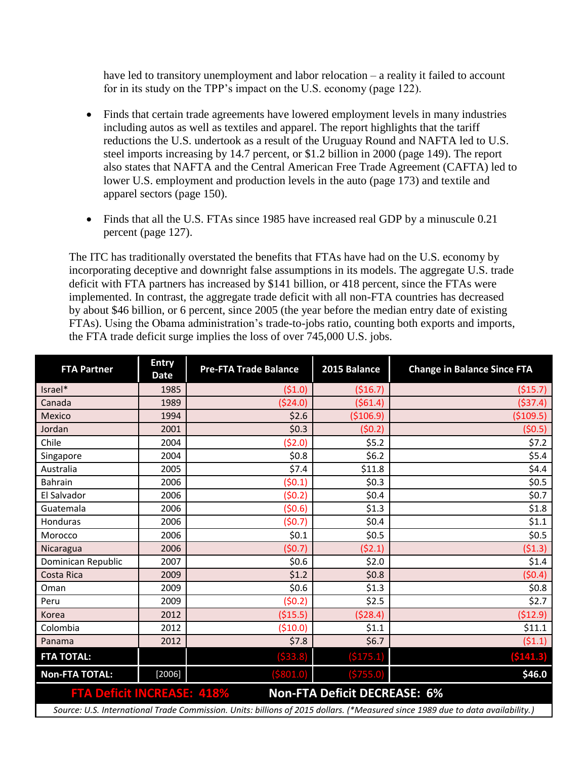have led to transitory unemployment and labor relocation – a reality it failed to account for in its study on the TPP's impact on the U.S. economy (page 122).

- Finds that certain trade agreements have lowered employment levels in many industries including autos as well as textiles and apparel. The report highlights that the tariff reductions the U.S. undertook as a result of the Uruguay Round and NAFTA led to U.S. steel imports increasing by 14.7 percent, or \$1.2 billion in 2000 (page 149). The report also states that NAFTA and the Central American Free Trade Agreement (CAFTA) led to lower U.S. employment and production levels in the auto (page 173) and textile and apparel sectors (page 150).
- Finds that all the U.S. FTAs since 1985 have increased real GDP by a minuscule 0.21 percent (page 127).

The ITC has traditionally overstated the benefits that FTAs have had on the U.S. economy by incorporating deceptive and downright false assumptions in its models. The aggregate U.S. trade deficit with FTA partners has increased by \$141 billion, or 418 percent, since the FTAs were implemented. In contrast, the aggregate trade deficit with all non-FTA countries has decreased by about \$46 billion, or 6 percent, since 2005 (the year before the median entry date of existing FTAs). Using the Obama administration's trade-to-jobs ratio, counting both exports and imports, the FTA trade deficit surge implies the loss of over 745,000 U.S. jobs.

| <b>FTA Partner</b>                                                                                                             | <b>Entry</b><br>Date | <b>Pre-FTA Trade Balance</b> | 2015 Balance | <b>Change in Balance Since FTA</b> |
|--------------------------------------------------------------------------------------------------------------------------------|----------------------|------------------------------|--------------|------------------------------------|
| Israel*                                                                                                                        | 1985                 | (51.0)                       | (516.7)      | ( \$15.7)                          |
| Canada                                                                                                                         | 1989                 | (524.0)                      | (561.4)      | ( \$37.4)                          |
| Mexico                                                                                                                         | 1994                 | \$2.6                        | ( \$106.9)   | ( \$109.5)                         |
| Jordan                                                                                                                         | 2001                 | \$0.3                        | (50.2)       | (50.5)                             |
| Chile                                                                                                                          | 2004                 | (52.0)                       | \$5.2        | \$7.2                              |
| Singapore                                                                                                                      | 2004                 | \$0.8\$                      | \$6.2        | \$5.4                              |
| Australia                                                                                                                      | 2005                 | \$7.4                        | \$11.8       | \$4.4                              |
| <b>Bahrain</b>                                                                                                                 | 2006                 | (50.1)                       | \$0.3        | \$0.5                              |
| El Salvador                                                                                                                    | 2006                 | (50.2)                       | \$0.4\$      | \$0.7                              |
| Guatemala                                                                                                                      | 2006                 | (50.6)                       | \$1.3        | \$1.8                              |
| Honduras                                                                                                                       | 2006                 | (50.7)                       | \$0.4        | \$1.1                              |
| Morocco                                                                                                                        | 2006                 | \$0.1                        | \$0.5        | \$0.5                              |
| Nicaragua                                                                                                                      | 2006                 | (50.7)                       | (52.1)       | (51.3)                             |
| Dominican Republic                                                                                                             | 2007                 | \$0.6                        | \$2.0        | \$1.4                              |
| Costa Rica                                                                                                                     | 2009                 | \$1.2                        | \$0.8\$      | (50.4)                             |
| Oman                                                                                                                           | 2009                 | \$0.6\$                      | \$1.3        | \$0.8                              |
| Peru                                                                                                                           | 2009                 | (50.2)                       | \$2.5        | \$2.7                              |
| Korea                                                                                                                          | 2012                 | ( \$15.5)                    | (528.4)      | (512.9)                            |
| Colombia                                                                                                                       | 2012                 | (510.0)                      | \$1.1        | \$11.1                             |
| Panama                                                                                                                         | 2012                 | \$7.8                        | \$6.7        | (51.1)                             |
| <b>FTA TOTAL:</b>                                                                                                              |                      | ( \$33.8)                    | ( \$175.1)   | ( \$141.3)                         |
| <b>Non-FTA TOTAL:</b>                                                                                                          | $[2006]$             | ( \$801.0)                   | (\$755.0)    | \$46.0                             |
| <b>Non-FTA Deficit DECREASE: 6%</b><br><b>FTA Deficit INCREASE: 418%</b>                                                       |                      |                              |              |                                    |
| Source: U.S. International Trade Commission. Units: billions of 2015 dollars. (*Measured since 1989 due to data availability.) |                      |                              |              |                                    |